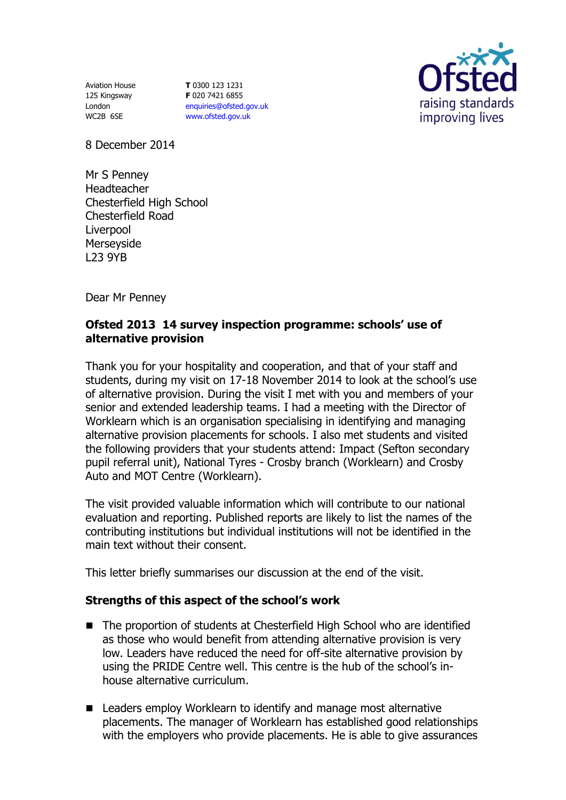Aviation House 125 Kingsway London WC2B 6SE

**T** 0300 123 1231 **F** 020 7421 6855 [enquiries@ofsted.gov.uk](mailto:enquiries@ofsted.gov.uk) [www.ofsted.gov.uk](http://www.ofsted.gov.uk/)



8 December 2014

Mr S Penney Headteacher Chesterfield High School Chesterfield Road Liverpool Merseyside L23 9YB

Dear Mr Penney

## **Ofsted 2013 14 survey inspection programme: schools' use of alternative provision**

Thank you for your hospitality and cooperation, and that of your staff and students, during my visit on 17-18 November 2014 to look at the school's use of alternative provision. During the visit I met with you and members of your senior and extended leadership teams. I had a meeting with the Director of Worklearn which is an organisation specialising in identifying and managing alternative provision placements for schools. I also met students and visited the following providers that your students attend: Impact (Sefton secondary pupil referral unit), National Tyres - Crosby branch (Worklearn) and Crosby Auto and MOT Centre (Worklearn).

The visit provided valuable information which will contribute to our national evaluation and reporting. Published reports are likely to list the names of the contributing institutions but individual institutions will not be identified in the main text without their consent.

This letter briefly summarises our discussion at the end of the visit.

## **Strengths of this aspect of the school's work**

- The proportion of students at Chesterfield High School who are identified as those who would benefit from attending alternative provision is very low. Leaders have reduced the need for off-site alternative provision by using the PRIDE Centre well. This centre is the hub of the school's inhouse alternative curriculum.
- Leaders employ Worklearn to identify and manage most alternative placements. The manager of Worklearn has established good relationships with the employers who provide placements. He is able to give assurances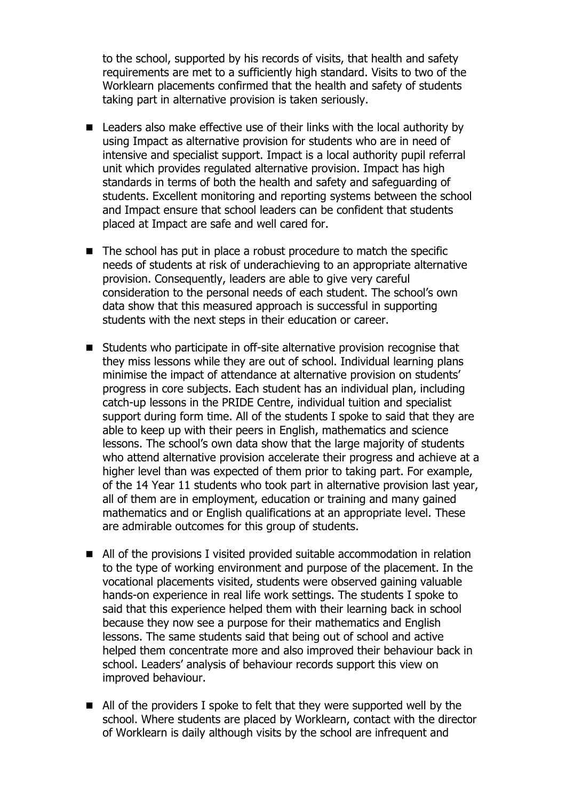to the school, supported by his records of visits, that health and safety requirements are met to a sufficiently high standard. Visits to two of the Worklearn placements confirmed that the health and safety of students taking part in alternative provision is taken seriously.

- Leaders also make effective use of their links with the local authority by using Impact as alternative provision for students who are in need of intensive and specialist support. Impact is a local authority pupil referral unit which provides regulated alternative provision. Impact has high standards in terms of both the health and safety and safeguarding of students. Excellent monitoring and reporting systems between the school and Impact ensure that school leaders can be confident that students placed at Impact are safe and well cared for.
- The school has put in place a robust procedure to match the specific needs of students at risk of underachieving to an appropriate alternative provision. Consequently, leaders are able to give very careful consideration to the personal needs of each student. The school's own data show that this measured approach is successful in supporting students with the next steps in their education or career.
- Students who participate in off-site alternative provision recognise that they miss lessons while they are out of school. Individual learning plans minimise the impact of attendance at alternative provision on students' progress in core subjects. Each student has an individual plan, including catch-up lessons in the PRIDE Centre, individual tuition and specialist support during form time. All of the students I spoke to said that they are able to keep up with their peers in English, mathematics and science lessons. The school's own data show that the large majority of students who attend alternative provision accelerate their progress and achieve at a higher level than was expected of them prior to taking part. For example, of the 14 Year 11 students who took part in alternative provision last year, all of them are in employment, education or training and many gained mathematics and or English qualifications at an appropriate level. These are admirable outcomes for this group of students.
- All of the provisions I visited provided suitable accommodation in relation to the type of working environment and purpose of the placement. In the vocational placements visited, students were observed gaining valuable hands-on experience in real life work settings. The students I spoke to said that this experience helped them with their learning back in school because they now see a purpose for their mathematics and English lessons. The same students said that being out of school and active helped them concentrate more and also improved their behaviour back in school. Leaders' analysis of behaviour records support this view on improved behaviour.
- All of the providers I spoke to felt that they were supported well by the school. Where students are placed by Worklearn, contact with the director of Worklearn is daily although visits by the school are infrequent and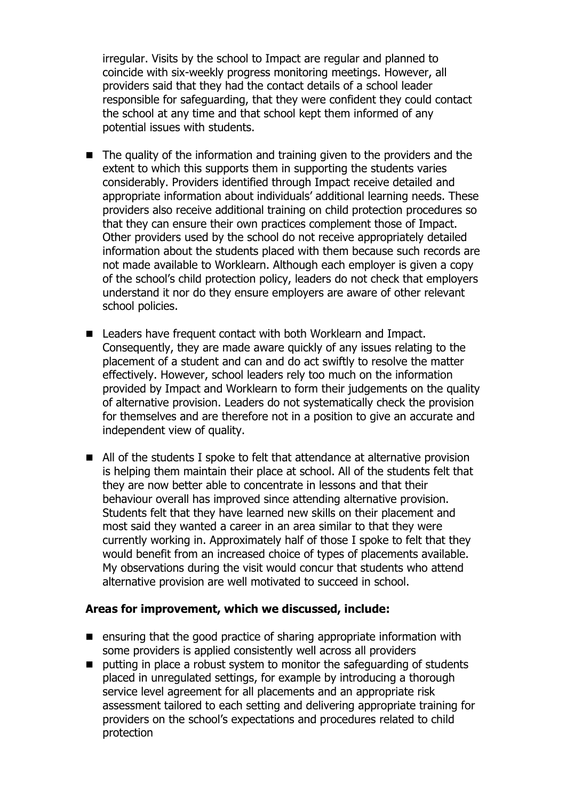irregular. Visits by the school to Impact are regular and planned to coincide with six-weekly progress monitoring meetings. However, all providers said that they had the contact details of a school leader responsible for safeguarding, that they were confident they could contact the school at any time and that school kept them informed of any potential issues with students.

- The quality of the information and training given to the providers and the extent to which this supports them in supporting the students varies considerably. Providers identified through Impact receive detailed and appropriate information about individuals' additional learning needs. These providers also receive additional training on child protection procedures so that they can ensure their own practices complement those of Impact. Other providers used by the school do not receive appropriately detailed information about the students placed with them because such records are not made available to Worklearn. Although each employer is given a copy of the school's child protection policy, leaders do not check that employers understand it nor do they ensure employers are aware of other relevant school policies.
- Leaders have frequent contact with both Worklearn and Impact. Consequently, they are made aware quickly of any issues relating to the placement of a student and can and do act swiftly to resolve the matter effectively. However, school leaders rely too much on the information provided by Impact and Worklearn to form their judgements on the quality of alternative provision. Leaders do not systematically check the provision for themselves and are therefore not in a position to give an accurate and independent view of quality.
- All of the students I spoke to felt that attendance at alternative provision is helping them maintain their place at school. All of the students felt that they are now better able to concentrate in lessons and that their behaviour overall has improved since attending alternative provision. Students felt that they have learned new skills on their placement and most said they wanted a career in an area similar to that they were currently working in. Approximately half of those I spoke to felt that they would benefit from an increased choice of types of placements available. My observations during the visit would concur that students who attend alternative provision are well motivated to succeed in school.

## **Areas for improvement, which we discussed, include:**

- $\blacksquare$  ensuring that the good practice of sharing appropriate information with some providers is applied consistently well across all providers
- putting in place a robust system to monitor the safeguarding of students placed in unregulated settings, for example by introducing a thorough service level agreement for all placements and an appropriate risk assessment tailored to each setting and delivering appropriate training for providers on the school's expectations and procedures related to child protection